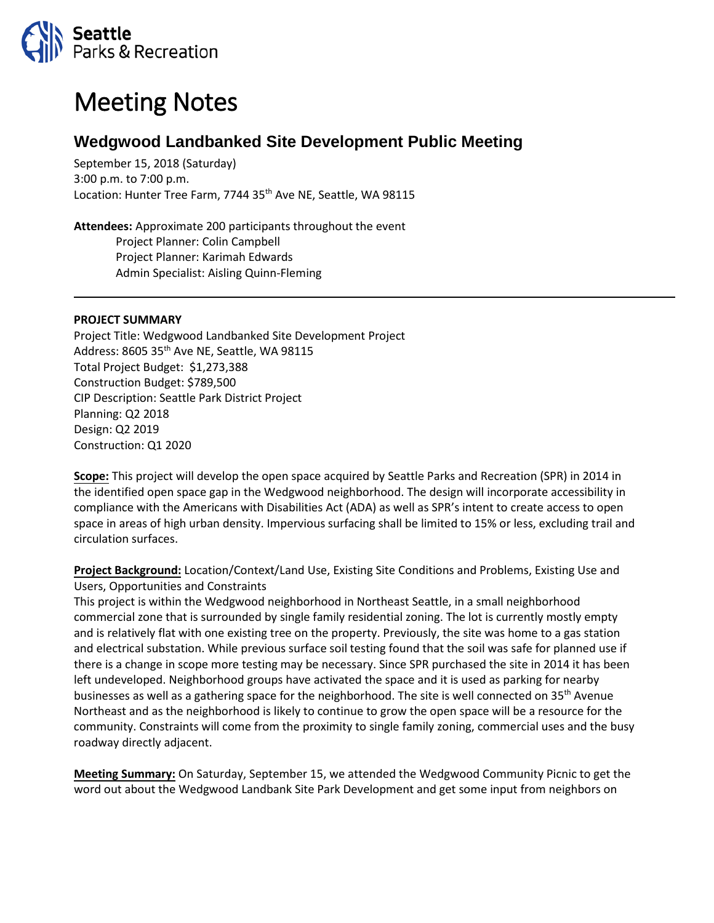

## Meeting Notes

## **Wedgwood Landbanked Site Development Public Meeting**

September 15, 2018 (Saturday) 3:00 p.m. to 7:00 p.m. Location: Hunter Tree Farm, 7744 35<sup>th</sup> Ave NE, Seattle, WA 98115

**Attendees:** Approximate 200 participants throughout the event Project Planner: Colin Campbell Project Planner: Karimah Edwards Admin Specialist: Aisling Quinn-Fleming

## **PROJECT SUMMARY**

Project Title: Wedgwood Landbanked Site Development Project Address: 8605 35<sup>th</sup> Ave NE, Seattle, WA 98115 Total Project Budget: \$1,273,388 Construction Budget: \$789,500 CIP Description: Seattle Park District Project Planning: Q2 2018 Design: Q2 2019 Construction: Q1 2020

**Scope:** This project will develop the open space acquired by Seattle Parks and Recreation (SPR) in 2014 in the identified open space gap in the Wedgwood neighborhood. The design will incorporate accessibility in compliance with the Americans with Disabilities Act (ADA) as well as SPR's intent to create access to open space in areas of high urban density. Impervious surfacing shall be limited to 15% or less, excluding trail and circulation surfaces.

**Project Background:** Location/Context/Land Use, Existing Site Conditions and Problems, Existing Use and Users, Opportunities and Constraints

This project is within the Wedgwood neighborhood in Northeast Seattle, in a small neighborhood commercial zone that is surrounded by single family residential zoning. The lot is currently mostly empty and is relatively flat with one existing tree on the property. Previously, the site was home to a gas station and electrical substation. While previous surface soil testing found that the soil was safe for planned use if there is a change in scope more testing may be necessary. Since SPR purchased the site in 2014 it has been left undeveloped. Neighborhood groups have activated the space and it is used as parking for nearby businesses as well as a gathering space for the neighborhood. The site is well connected on 35<sup>th</sup> Avenue Northeast and as the neighborhood is likely to continue to grow the open space will be a resource for the community. Constraints will come from the proximity to single family zoning, commercial uses and the busy roadway directly adjacent.

**Meeting Summary:** On Saturday, September 15, we attended the Wedgwood Community Picnic to get the word out about the Wedgwood Landbank Site Park Development and get some input from neighbors on